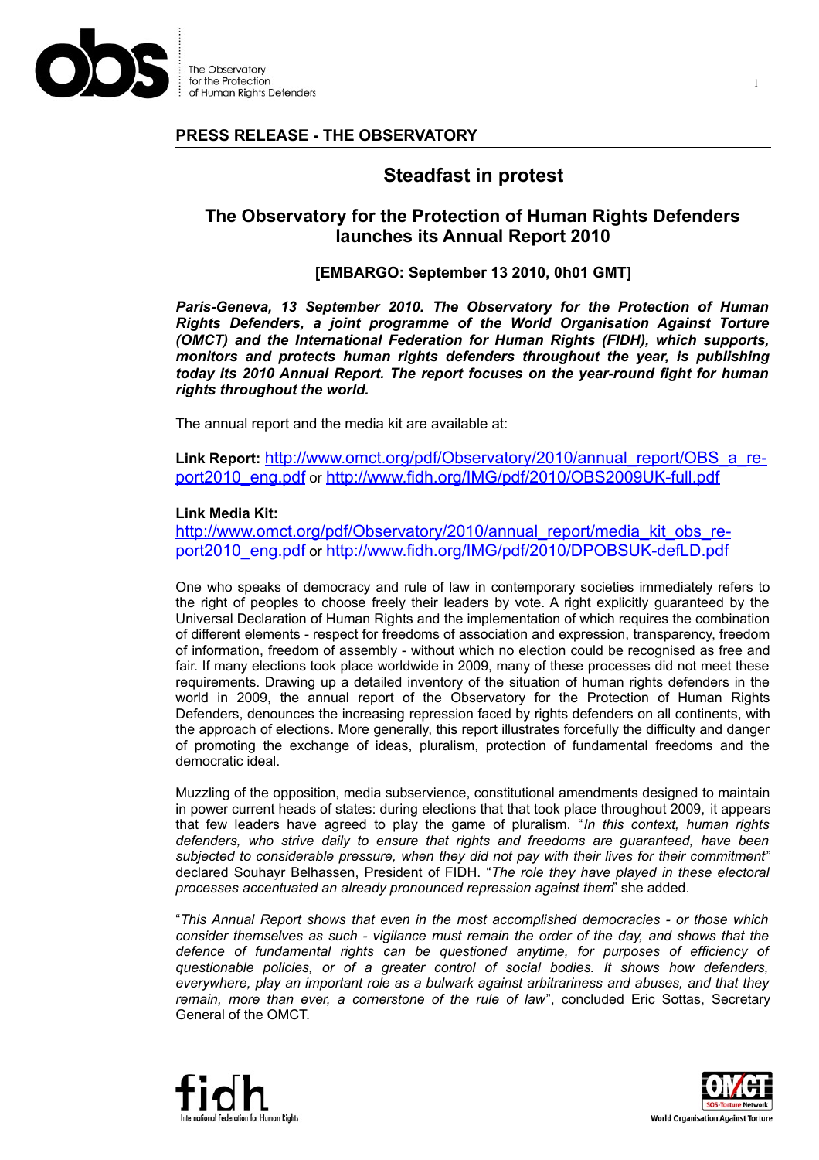

The Observatory for the Protection of Human Rights Defenders

### **PRESS RELEASE - THE OBSERVATORY**

# **Steadfast in protest**

## **The Observatory for the Protection of Human Rights Defenders launches its Annual Report 2010**

#### **[EMBARGO: September 13 2010, 0h01 GMT]**

*Paris-Geneva, 13 September 2010. The Observatory for the Protection of Human Rights Defenders, a joint programme of the World Organisation Against Torture (OMCT) and the International Federation for Human Rights (FIDH), which supports, monitors and protects human rights defenders throughout the year, is publishing today its 2010 Annual Report. The report focuses on the year-round fight for human rights throughout the world.*

The annual report and the media kit are available at:

Link Report: [http://www.omct.org/pdf/Observatory/2010/annual\\_report/OBS\\_a\\_re](http://www.omct.org/pdf/Observatory/2010/annual_report/OBS_a_report2010_eng.pdf)[port2010\\_eng.pdf](http://www.omct.org/pdf/Observatory/2010/annual_report/OBS_a_report2010_eng.pdf) or <http://www.fidh.org/IMG/pdf/2010/OBS2009UK-full.pdf>

#### **Link Media Kit:**

[http://www.omct.org/pdf/Observatory/2010/annual\\_report/media\\_kit\\_obs\\_re](http://www.omct.org/pdf/Observatory/2010/annual_report/media_kit_obs_report2010_eng.pdf)[port2010\\_eng.pdf](http://www.omct.org/pdf/Observatory/2010/annual_report/media_kit_obs_report2010_eng.pdf) or <http://www.fidh.org/IMG/pdf/2010/DPOBSUK-defLD.pdf>

One who speaks of democracy and rule of law in contemporary societies immediately refers to the right of peoples to choose freely their leaders by vote. A right explicitly guaranteed by the Universal Declaration of Human Rights and the implementation of which requires the combination of different elements - respect for freedoms of association and expression, transparency, freedom of information, freedom of assembly - without which no election could be recognised as free and fair. If many elections took place worldwide in 2009, many of these processes did not meet these requirements. Drawing up a detailed inventory of the situation of human rights defenders in the world in 2009, the annual report of the Observatory for the Protection of Human Rights Defenders, denounces the increasing repression faced by rights defenders on all continents, with the approach of elections. More generally, this report illustrates forcefully the difficulty and danger of promoting the exchange of ideas, pluralism, protection of fundamental freedoms and the democratic ideal.

Muzzling of the opposition, media subservience, constitutional amendments designed to maintain in power current heads of states: during elections that that took place throughout 2009, it appears that few leaders have agreed to play the game of pluralism. "*In this context, human rights defenders, who strive daily to ensure that rights and freedoms are guaranteed, have been subjected to considerable pressure, when they did not pay with their lives for their commitment*" declared Souhayr Belhassen, President of FIDH. "*The role they have played in these electoral processes accentuated an already pronounced repression against them*" she added.

"*This Annual Report shows that even in the most accomplished democracies - or those which consider themselves as such - vigilance must remain the order of the day, and shows that the defence of fundamental rights can be questioned anytime, for purposes of efficiency of questionable policies, or of a greater control of social bodies. It shows how defenders, everywhere, play an important role as a bulwark against arbitrariness and abuses, and that they remain, more than ever, a cornerstone of the rule of law*", concluded Eric Sottas, Secretary General of the OMCT.